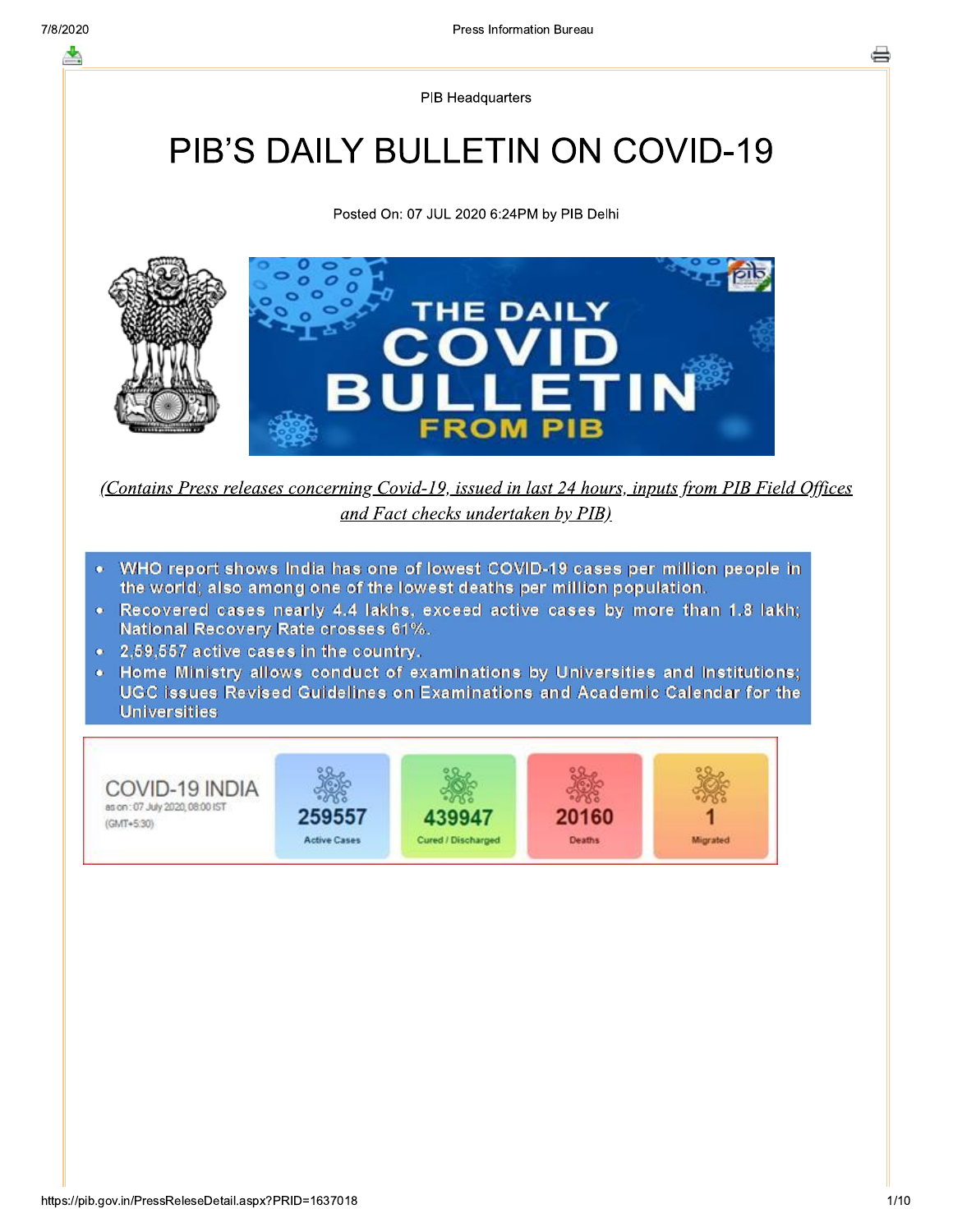**PIB Headquarters** 

## **PIB'S DAILY BULLETIN ON COVID-19**

Posted On: 07 JUL 2020 6:24PM by PIB Delhi



(Contains Press releases concerning Covid-19, issued in last 24 hours, inputs from PIB Field Offices and Fact checks undertaken by PIB)

- WHO report shows India has one of lowest COVID-19 cases per million people in  $\bullet$ the world; also among one of the lowest deaths per million population.
- . Recovered cases nearly 4.4 lakhs, exceed active cases by more than 1.8 lakh; National Recovery Rate crosses 61%.
- 2,59,557 active cases in the country.
- Home Ministry allows conduct of examinations by Universities and Institutions; UGC issues Revised Guidelines on Examinations and Academic Calendar for the **Universities**

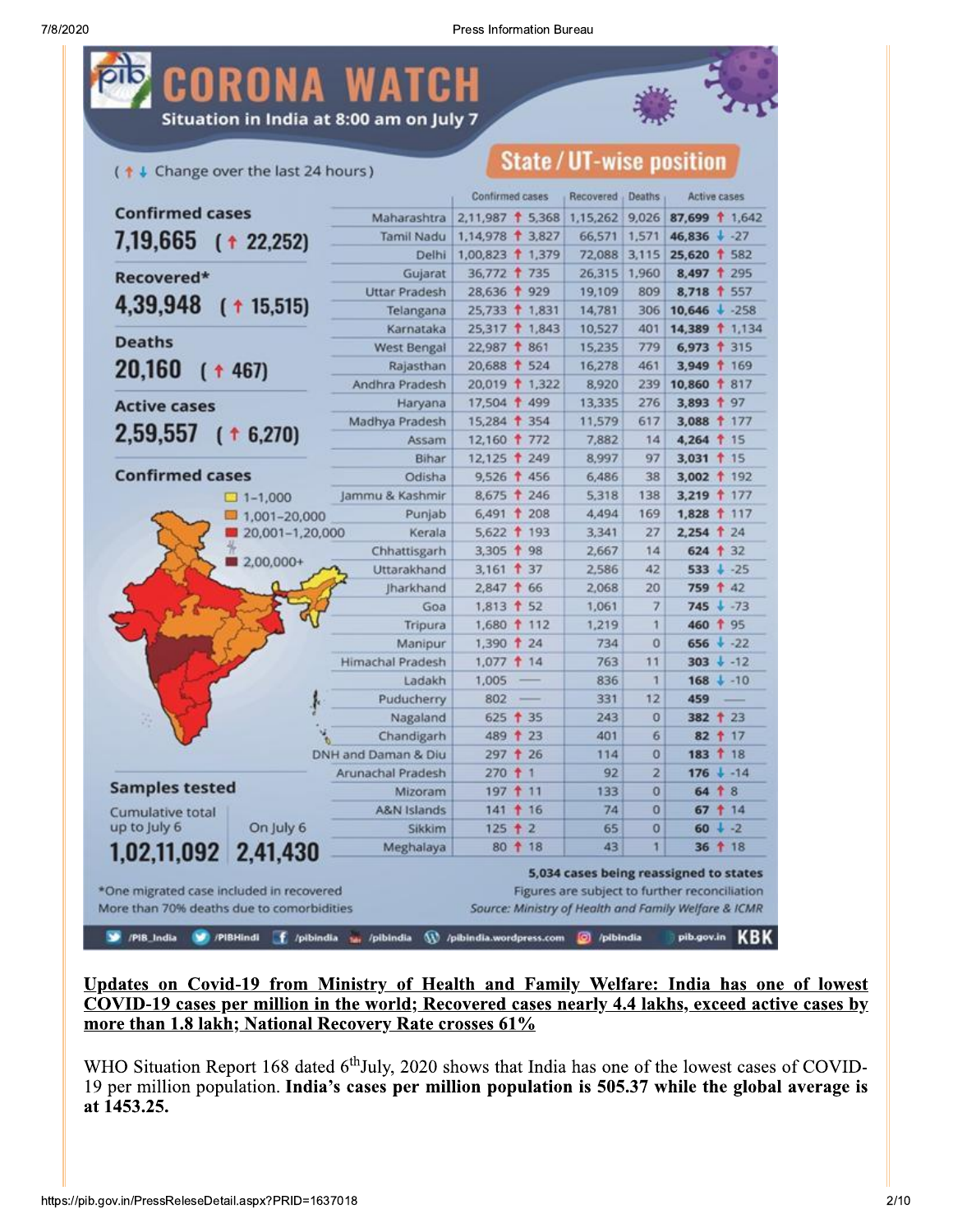

(1 + Change over the last 24 hours)

### **State/UT-wise position**

|                                                                                       |                  |                                     | Confirmed cases                                      | Recovered                                                                               | Deaths         | <b>Active cases</b>      |    |            |
|---------------------------------------------------------------------------------------|------------------|-------------------------------------|------------------------------------------------------|-----------------------------------------------------------------------------------------|----------------|--------------------------|----|------------|
| <b>Confirmed cases</b>                                                                |                  | Maharashtra                         | $2,11,987$ 1 5,368                                   | 1,15,262                                                                                | 9,026          | 87,699 1.642             |    |            |
| 7,19,665 ( † 22,252)                                                                  |                  | Tamil Nadu                          | 1,14,978 1 3,827                                     | 66,571                                                                                  | 1,571          | 46,836 $\frac{1}{2}$ -27 |    |            |
|                                                                                       |                  | Delhi                               | 1,00,823 1,379                                       | 72,088                                                                                  | 3,115          | 25,620 1 582             |    |            |
| Recovered*                                                                            |                  | Gujarat                             | 36,772 † 735                                         | 26,315                                                                                  | 1,960          | 8,497 1 295              |    |            |
|                                                                                       |                  | <b>Uttar Pradesh</b>                | 28,636 1 929                                         | 19,109                                                                                  | 809            | 8,718 1 557              |    |            |
| 4,39,948 ( + 15,515)                                                                  |                  | Telangana                           | 25,733 1,831                                         | 14,781                                                                                  | 306            | $10,646 + 258$           |    |            |
|                                                                                       |                  | Karnataka                           | 25,317 1,843                                         | 10,527                                                                                  | 401            | 14,389 1,134             |    |            |
| <b>Deaths</b>                                                                         |                  | <b>West Bengal</b>                  | 22,987 1 861                                         | 15,235                                                                                  | 779            | $6,973$ † 315            |    |            |
| 20,160<br>$($ + 467)                                                                  |                  | Rajasthan                           | 20,688 1 524                                         | 16,278                                                                                  | 461            | 3,949 169                |    |            |
|                                                                                       |                  | Andhra Pradesh                      | 20,019 1,322                                         | 8,920                                                                                   | 239            | 10,860 1 817             |    |            |
| <b>Active cases</b>                                                                   |                  | Haryana                             | 17,504 1 499                                         | 13,335                                                                                  | 276            | 3,893 1 97               |    |            |
|                                                                                       |                  | Madhya Pradesh                      | 15,284 1 354                                         | 11,579                                                                                  | 617            | 3,088 177                |    |            |
| $2,59,557$ ( $\uparrow$ 6,270)                                                        |                  | Assam                               | 12,160 1 772                                         | 7,882                                                                                   | 14             | 4,264 15                 |    |            |
|                                                                                       |                  | Bihar                               | 12,125 1 249                                         | 8,997                                                                                   | 97             | 3,031 1 15               |    |            |
| <b>Confirmed cases</b>                                                                |                  | Odisha                              | 9,526 1 456                                          | 6,486                                                                                   | 38             | 3,002 1 192              |    |            |
|                                                                                       | $-1.000$         | Jammu & Kashmir                     | 8,675 † 246                                          | 5,318                                                                                   | 138            | 3,219 177                |    |            |
|                                                                                       | $1,001 - 20,000$ | Punjab                              | $6,491$ † 208                                        | 4,494                                                                                   | 169            | 1,828 117                |    |            |
|                                                                                       | 20,001-1,20,000  | Kerala                              | 5,622 193                                            | 3,341                                                                                   | 27             | 2,254 1 24               |    |            |
|                                                                                       | 2,00,000+        | Chhattisgarh                        | 3,305 1 98                                           | 2,667                                                                                   | 14             | $624 + 32$               |    |            |
|                                                                                       |                  | Uttarakhand                         | $3,161$ † 37                                         | 2,586                                                                                   | 42             | $533 + 25$               |    |            |
|                                                                                       |                  | Iharkhand                           | 2,847 1 66                                           | 2,068                                                                                   | 20             | 759 1 42                 |    |            |
|                                                                                       |                  | Goa                                 | 1,813 1 52                                           | 1,061                                                                                   | 7              | 745                      |    | $+ -73$    |
|                                                                                       |                  | Tripura                             | 1,680 112                                            | 1,219                                                                                   | 1              | 460 1 95                 |    |            |
|                                                                                       |                  | Manipur                             | 1,390 1 24                                           | 734                                                                                     | $\Omega$       | $656 + -22$              |    |            |
|                                                                                       |                  | <b>Himachal Pradesh</b>             | $1,077$ † 14                                         | 763                                                                                     | 11             | $303 + 12$               |    |            |
|                                                                                       |                  | Ladakh                              | 1,005                                                | 836                                                                                     | 1              | $168 + -10$              |    |            |
|                                                                                       |                  | Puducherry                          | 802                                                  | 331                                                                                     | 12             | 459                      |    |            |
|                                                                                       |                  | Nagaland                            | $625 + 35$                                           | 243                                                                                     | 0              | 382 1 23                 |    |            |
|                                                                                       |                  | Chandigarh                          | 489 1 23                                             | 401                                                                                     | 6              | 82 1 17                  |    |            |
|                                                                                       |                  | DNH and Daman & Diu                 | 297 † 26                                             | 114                                                                                     | $\bf{0}$       | 183 1 18                 |    |            |
| <b>Samples tested</b>                                                                 |                  | Arunachal Pradesh                   | $270 + 1$                                            | 92                                                                                      | $\overline{2}$ | $176 + -14$              |    |            |
|                                                                                       |                  | Mizoram                             | 197 11                                               | 133                                                                                     | 0              | 64                       | 18 |            |
| Cumulative total                                                                      |                  | <b>A&amp;N Islands</b>              | $141 + 16$                                           | 74                                                                                      | 0              | $67 + 14$                |    |            |
| up to July 6                                                                          | On July 6        | Sikkim                              | $125 + 2$                                            | 65                                                                                      | 0              | $60 + -2$                |    |            |
| 1,02,11,092 2,41,430                                                                  |                  | Meghalaya                           | 80 1 18                                              | 43                                                                                      | 1              | 36 1 18                  |    |            |
| *One migrated case included in recovered<br>More than 70% deaths due to comorbidities |                  |                                     | Source: Ministry of Health and Family Welfare & ICMR | 5,034 cases being reassigned to states<br>Figures are subject to further reconciliation |                |                          |    |            |
| /PIB_India                                                                            | /PIBHindi        | f /pibindia <sub>14</sub> /pibindia | W /pibindia.wordpress.com                            | C /pibindia                                                                             |                | pib.gov.in               |    | <b>KBK</b> |

Updates on Covid-19 from Ministry of Health and Family Welfare: India has one of lowest COVID-19 cases per million in the world; Recovered cases nearly 4.4 lakhs, exceed active cases by more than 1.8 lakh; National Recovery Rate crosses 61%

WHO Situation Report 168 dated 6<sup>th</sup>July, 2020 shows that India has one of the lowest cases of COVID-19 per million population. India's cases per million population is 505.37 while the global average is at 1453.25.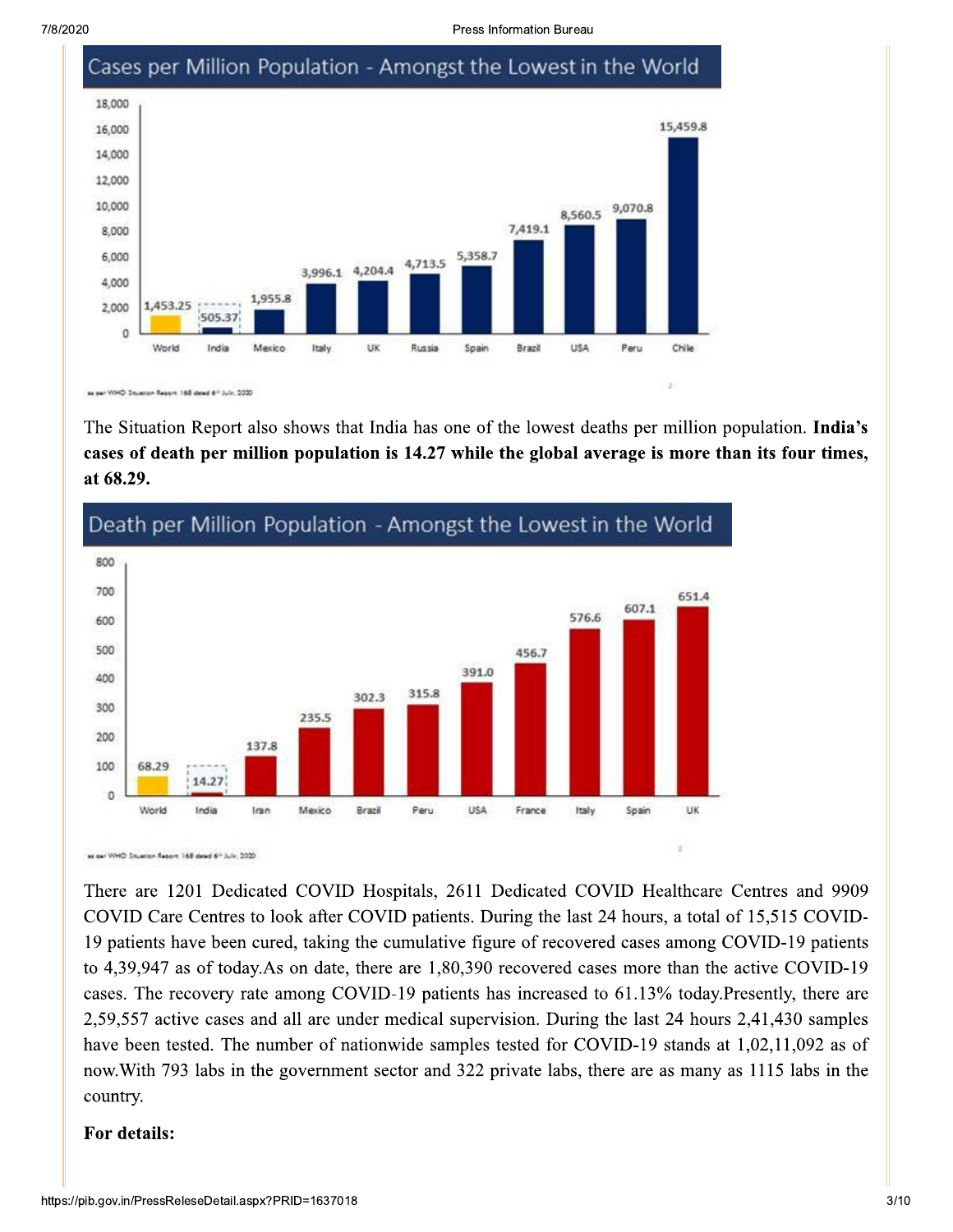Press Information Bureau



The Situation Report also shows that India has one of the lowest deaths per million population. India's cases of death per million population is 14.27 while the global average is more than its four times, at 68.29.



#### Death per Million Population - Amongst the Lowest in the World

as per WHO Stuarion Report 168 deed 6th July, 2020

There are 1201 Dedicated COVID Hospitals, 2611 Dedicated COVID Healthcare Centres and 9909 COVID Care Centres to look after COVID patients. During the last 24 hours, a total of 15,515 COVID-19 patients have been cured, taking the cumulative figure of recovered cases among COVID-19 patients to 4,39,947 as of today. As on date, there are 1,80,390 recovered cases more than the active COVID-19 cases. The recovery rate among COVID-19 patients has increased to 61.13% today. Presently, there are 2,59,557 active cases and all are under medical supervision. During the last 24 hours 2,41,430 samples have been tested. The number of nationwide samples tested for COVID-19 stands at 1,02,11,092 as of now. With 793 labs in the government sector and 322 private labs, there are as many as 1115 labs in the country.

#### For details: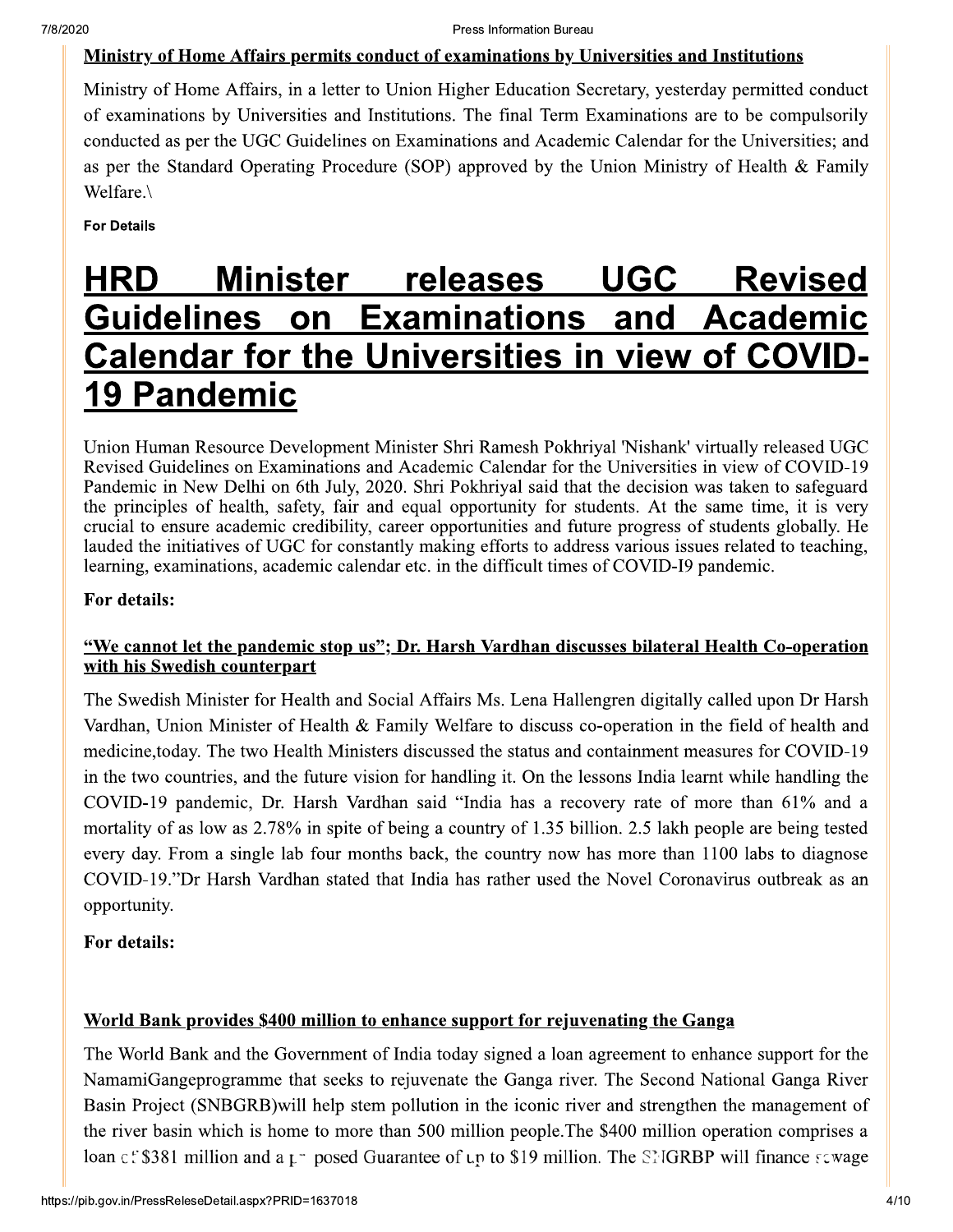#### Ministry of Home Affairs permits conduct of examinations by Universities and Institutions

Ministry of Home Affairs, in a letter to Union Higher Education Secretary, yesterday permitted conduct of examinations by Universities and Institutions. The final Term Examinations are to be compulsorily conducted as per the UGC Guidelines on Examinations and Academic Calendar for the Universities; and as per the Standard Operating Procedure (SOP) approved by the Union Ministry of Health & Family Welfare.\

**For Details** 

#### **Minister releases UGC Revised HRD Guidelines on Examinations** and Academic Calendar for the Universities in view of COVID-**19 Pandemic**

Union Human Resource Development Minister Shri Ramesh Pokhriyal 'Nishank' virtually released UGC Revised Guidelines on Examinations and Academic Calendar for the Universities in view of COVID-19 Pandemic in New Delhi on 6th July, 2020. Shri Pokhriyal said that the decision was taken to safeguard the principles of health, safety, fair and equal opportunity for students. At the same time, it is very crucial to ensure academic credibility, career opportunities and future progress of students globally. He lauded the initiatives of UGC for constantly making efforts to address various issues related to teaching, learning, examinations, academic calendar etc. in the difficult times of COVID-I9 pandemic.

#### For details:

#### "We cannot let the pandemic stop us"; Dr. Harsh Vardhan discusses bilateral Health Co-operation with his Swedish counterpart

The Swedish Minister for Health and Social Affairs Ms. Lena Hallengren digitally called upon Dr Harsh Vardhan, Union Minister of Health & Family Welfare to discuss co-operation in the field of health and medicine, today. The two Health Ministers discussed the status and containment measures for COVID-19 in the two countries, and the future vision for handling it. On the lessons India learnt while handling the COVID-19 pandemic, Dr. Harsh Vardhan said "India has a recovery rate of more than 61% and a mortality of as low as 2.78% in spite of being a country of 1.35 billion. 2.5 lakh people are being tested every day. From a single lab four months back, the country now has more than 1100 labs to diagnose COVID-19."Dr Harsh Vardhan stated that India has rather used the Novel Coronavirus outbreak as an opportunity.

#### For details:

#### World Bank provides \$400 million to enhance support for rejuvenating the Ganga

The World Bank and the Government of India today signed a loan agreement to enhance support for the NamamiGangeprogramme that seeks to rejuvenate the Ganga river. The Second National Ganga River Basin Project (SNBGRB) will help stem pollution in the iconic river and strengthen the management of the river basin which is home to more than 500 million people. The \$400 million operation comprises a loan c: \$381 million and a  $\mu$  posed Guarantee of  $\mu$  to \$19 million. The SNGRBP will finance sewage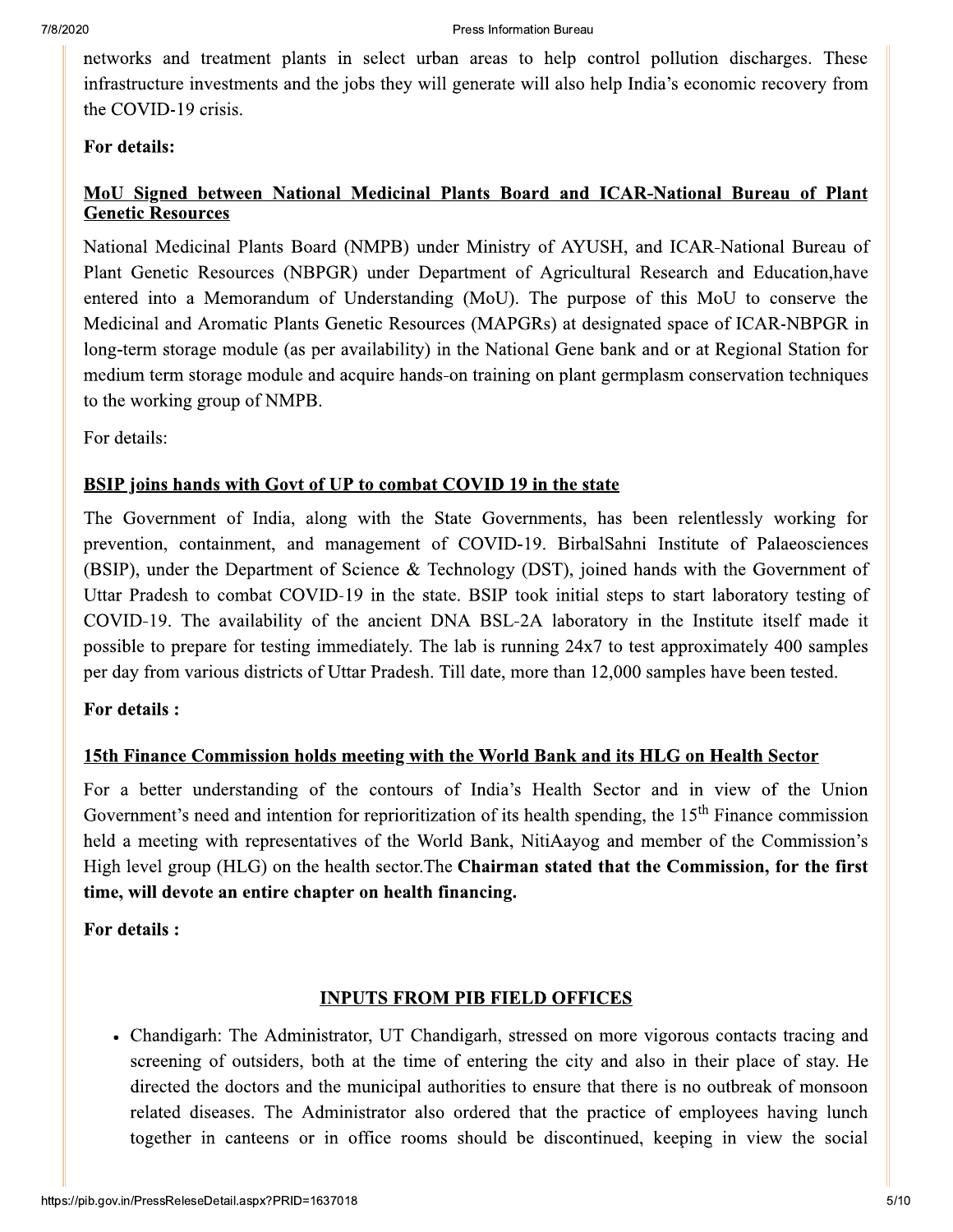networks and treatment plants in select urban areas to help control pollution discharges. These infrastructure investments and the jobs they will generate will also help India's economic recovery from the COVID-19 crisis.

#### For details:

#### MoU Signed between National Medicinal Plants Board and ICAR-National Bureau of Plant **Genetic Resources**

National Medicinal Plants Board (NMPB) under Ministry of AYUSH, and ICAR-National Bureau of Plant Genetic Resources (NBPGR) under Department of Agricultural Research and Education, have entered into a Memorandum of Understanding (MoU). The purpose of this MoU to conserve the Medicinal and Aromatic Plants Genetic Resources (MAPGRs) at designated space of ICAR-NBPGR in long-term storage module (as per availability) in the National Gene bank and or at Regional Station for medium term storage module and acquire hands-on training on plant germplasm conservation techniques to the working group of NMPB.

For details:

#### BSIP joins hands with Govt of UP to combat COVID 19 in the state

The Government of India, along with the State Governments, has been relentlessly working for prevention, containment, and management of COVID-19. BirbalSahni Institute of Palaeosciences (BSIP), under the Department of Science & Technology (DST), joined hands with the Government of Uttar Pradesh to combat COVID-19 in the state. BSIP took initial steps to start laboratory testing of COVID-19. The availability of the ancient DNA BSL-2A laboratory in the Institute itself made it possible to prepare for testing immediately. The lab is running 24x7 to test approximately 400 samples per day from various districts of Uttar Pradesh. Till date, more than 12,000 samples have been tested.

#### For details :

#### 15th Finance Commission holds meeting with the World Bank and its HLG on Health Sector

For a better understanding of the contours of India's Health Sector and in view of the Union Government's need and intention for reprioritization of its health spending, the 15<sup>th</sup> Finance commission held a meeting with representatives of the World Bank, NitiAavog and member of the Commission's High level group (HLG) on the health sector. The Chairman stated that the Commission, for the first time, will devote an entire chapter on health financing.

For details :

#### **INPUTS FROM PIB FIELD OFFICES**

• Chandigarh: The Administrator, UT Chandigarh, stressed on more vigorous contacts tracing and screening of outsiders, both at the time of entering the city and also in their place of stay. He directed the doctors and the municipal authorities to ensure that there is no outbreak of monsoon related diseases. The Administrator also ordered that the practice of employees having lunch together in canteens or in office rooms should be discontinued, keeping in view the social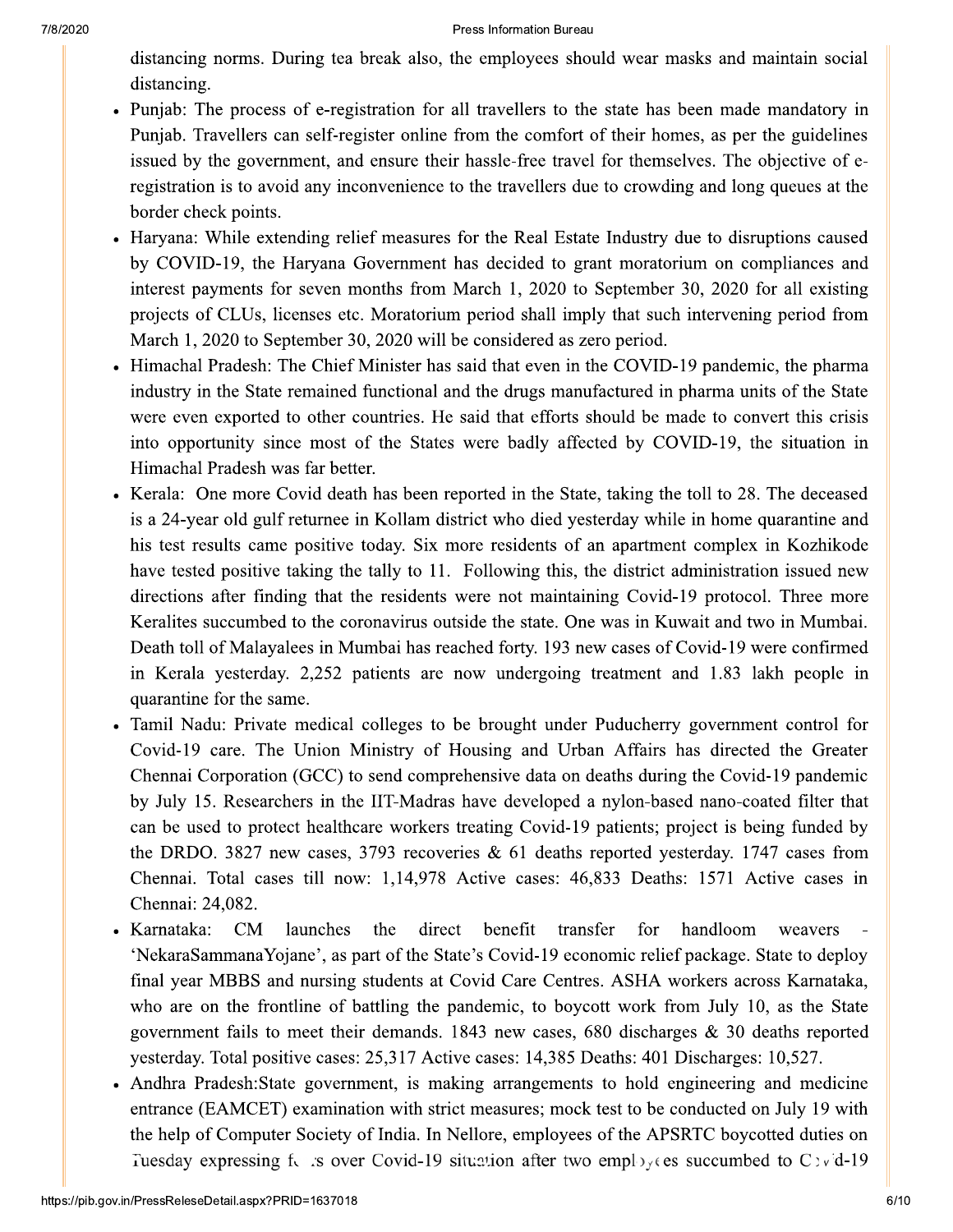#### 2020 Press in information Bureau

During tea break also, the employees should wear masks and maintain so

- <sup>7/8/2020</sup><br>
distancing norms. During<br>
distancing.<br>
 Punjab: The process of e-<br>
Punjab. Travellers can self<br>
issued by the government,<br>
registration is to avoid any<br>
border check points.<br>
 Haryana: While extending <sup>2020</sup><br>
distancing norms. During tea break also<br>
distancing.<br>
• Punjab: The process of e-registration fo<br>
Punjab. Travellers can self-register onlin<br>
issued by the government, and ensure th<br>
registration is to avoid any in Press Information Bureau<br>
rms. During tea break also, the employees should<br>
process of e-registration for all travellers to the s<br>
Illers can self-register online from the comfort of<br>
government, and ensure their hassle-fr Press Information Bureau<br>
break also, the employees should wear masks and<br>
stration for all travellers to the state has been maister online from the comfort of their homes, as p<br>
ensure their hassle-free travel for themsel Press Information Bureau<br>
eak also, the employees should wear masks and<br>
ation for all travellers to the state has been mad<br>
er online from the comfort of their homes, as per<br>
nsure their hassle-free travel for themselves. Formation Bureau<br>ployees should wear masks and maintain social<br>vellers to the state has been made mandatory in<br>he comfort of their homes, as per the guidelines<br>e-free travel for themselves. The objective of e-<br>ravellers du ear masks and maintain social<br>
has been made mandatory in<br>
r homes, as per the guidelines<br>
nemselves. The objective of e-<br>
owding and long queues at the<br>
stry due to disruptions caused <sup>7/8/2020</sup><br>
distancing norms. During<br>
distancing.<br>
• Punjab: The process of e-<br>
Punjab. Travellers can self<br>
issued by the government,<br>
registration is to avoid any<br>
border check points.<br>
• Haryana: While extending<br>
by COV Punjab: The process of e-registration for all travellers to the state has been made mandatory in Pr<br>
distancing norms. During tea break also, th<br>
distancing.<br>
• Punjab: The process of e-registration for al<br>
Punjab. Travellers can self-register online fr<br>
issued by the government, and ensure their<br>
registration is to a Press Information<br>
ering norms. During tea break also, the employer<br>
b: The process of e-registration for all travellers<br>
b. Travellers can self-register online from the con-<br>
l by the government, and ensure their hassle-f Press Information Bureau<br>
User anasks and travellers to the state has been register online from the comfort of their homes, as<br>
densure their hassle-free travel for themselves.<br>
Convenience to the travellers due to crowdin Press Information Bureau<br>Iso, the employees should wear masks and main<br>for all travellers to the state has been made ma<br>Iline from the comfort of their homes, as per the<br>their hassle-free travel for themselves. The obje<br>nc Information Bureau<br>
employees should wear masks and maintain soc<br>
travellers to the state has been made mandatory<br>
m the comfort of their homes, as per the guideline<br>
assle-free travel for themselves. The objective of<br>
the Punjab. Travellers can self-register online from the comfort of their homes, as per the gi 20<br>
distancing norms. During tea break also,<br>
distancing.<br>
• Punjab: The process of e-registration for<br>
Punjab. Travellers can self-register online<br>
issued by the government, and ensure the<br>
registration is to avoid any in <sup>Press Information</sup><br>
distancing norms. During tea break also, the employees<br>
distancing.<br>
Punjab: The process of e-registration for all travellers<br>
Punjab. Travellers can self-register online from the com<br>
issued by the go by promation Bureau<br>
bloyees should wear masks and maintain social<br>
ellers to the state has been made mandatory in<br>
be comfort of their homes, as per the guidelines<br>
e-free travel for themselves. The objective of e-<br>
avell tion Bureau<br>
vees should wear masks and maintain social<br>
rs to the state has been made mandatory in<br>
omfort of their homes, as per the guidelines<br>
ee travel for themselves. The objective of e-<br>
ellers due to crowding and l nasks and maintain social<br>been made mandatory in<br>mes, as per the guidelines<br>elves. The objective of e-<br>ng and long queues at the<br>due to disruptions caused<br>rium on compliances and<br>30, 2020 for all existing<br>h intervening per 7/8/2020<br>
distancing norms. During<br>
distancing.<br>
• Punjab: The process of e-<br>
Punjab. Travellers can sel:<br>
issued by the government,<br>
registration is to avoid any<br>
border check points.<br>
• Haryana: While extending<br>
by COVID by the government, and ensure their hassle-free travel for themselves. The objective of e-Solution Bureau<br>
employees should wear masks and maintain social<br>
travellers to the state has been made mandatory in<br>
m the comfort of their homes, as per the guidelines<br>
sssle-free travel for themselves. The objective of T/8/2020<br>
distancing norms. During te<br>
distancing.<br>
• Punjab: The process of e-re<br>
Punjab. Travellers can self-r<br>
issued by the government, a<br>
registration is to avoid any in<br>
border check points.<br>
• Haryana: While extendi TAS/2020<br>
distancing norms. During tea break a<br>
distancing.<br>
Punjab: The process of e-registratior<br>
Punjab. Travellers can self-register o<br>
issued by the government, and ensur<br>
registration is to avoid any inconveni-<br>
bord to avoid any inconvenience to the travellers due to crowding and long queues at the wear masks and maintain social<br>te has been made mandatory in<br>eir homes, as per the guidelines<br>themselves. The objective of e-<br>prowding and long queues at the<br>lustry due to disruptions caused<br>noratorium on compliances and<br>e border check po distancing norms. During tea break also, the distancing.<br>
• Punjab: The process of e-registration for a<br>
• Punjab. Travellers can self-register online is<br>
issued by the government, and ensure their<br>
registration is to avoi Should wear masks and maintain social<br>to the state has been made mandatory in<br>fort of their homes, as per the guidelines<br>ravel for themselves. The objective of e-<br>s due to crowding and long queues at the<br>Estate Industry du masks and maintain social<br>as been made mandatory in<br>inomes, as per the guidelines<br>mselves. The objective of e-<br>ding and long queues at the<br>y due to disruptions caused<br>torium on compliances and<br>per 30, 2020 for all existing has been made mandatory in<br>
r homes, as per the guidelines<br>
eemselves. The objective of e-<br>
owding and long queues at the<br>
stry due to disruptions caused<br>
pratorium on compliances and<br>
mber 30, 2020 for all existing<br>
such
	- Press Information Bur<br>
	Press Information Bur<br>
	3.<br>
	The process of e-registration for all travellers to<br>
	Travellers can self-register online from the comfor-<br>
	the government, and ensure their hassle-free trans<br>
	on is to avoi Press Information Bureau<br>
	ring tea break also, the employees should wear m<br>
	of e-registration for all travellers to the state has<br>
	i self-register online from the comfort of their hor<br>
	leant, and ensure their hassle-free t Press Information Bureau<br>reak also, the employees should wear masks and<br>ration for all travellers to the state has been mad<br>ter online from the comfort of their homes, as pe<br>nesure their hassle-free travel for themselves. Haryana: While extending relief measures for the Real Estate Industry due to di brins. During tea break also, the employees should v<br>process of e-registration for all travellers to the stat<br>ellers can self-register online from the comfort of the<br>government, and ensure their hassle-free travel for<br>s to eak also, the employees should wear masks and<br>ation for all travellers to the state has been mad<br>er online from the comfort of their homes, as per<br>nsure their hassle-free travel for themselves. The<br>venience to the travelle ne employees should wear masks and maintain and the employees should wear masks and maintain and the show than the comfort of their homes, as per the guidd r hassle-free travel for themselves. The objective to the travelle by COVID-19, the Haryana Government has decided to grant moratorium on compliances and of e-registration for all travellers to the state has an self-register online from the comfort of their hement, and ensure their hassle-free travel for ther id any inconvenience to the travellers due to crow ending relief • Punjab: The process of e-regingly Punjab. Travellers can self-reging<br>
	Punjab. Travellers can self-reging<br>
	issued by the government, and<br>
	registration is to avoid any inc<br>
	border check points.<br>
	• Haryana: While extending • Punjab: The process of e-registration for<br>Punjab. Travellers can self-register online<br>issued by the government, and ensure the<br>registration is to avoid any inconvenience<br>border check points.<br>• Haryana: While extending re for seven months from March 1, 2020 to September 30, 2020 for all  $e$ . • Punjab: The process of e-registration for all depths. Travellers can self-register online from issued by the government, and ensure their has registration is to avoid any inconvenience to the border check points.<br>• Harya is a process of e-registration for all traveliers to the avellers can self-registration for all traveliers to the comfort<br>the government, and ensure their hassle-free trav<br>i is to avoid any inconvenience to the travellers mas been made mandatory in<br>homes, as per the guidelines<br>emselves. The objective of e-<br>wding and long queues at the<br>try due to disruptions caused<br>ratorium on compliances and<br>aber 30, 2020 for all existing<br>such intervening p Funjao. Traveliers can sen-regi<br>issued by the government, and<br>registration is to avoid any inco<br>border check points.<br>Haryana: While extending relie<br>by COVID-19, the Haryana G<br>interest payments for seven me<br>projects of CLUs of CLUs, licenses etc. Moratorium period shall imply that such intervening period from Funjab. Traveners can sen-register ominations<br>issued by the government, and ensure the<br>registration is to avoid any inconvenience<br>border check points.<br>• Haryana: While extending relief measure<br>by COVID-19, the Haryana Gove Funjab. Traveners can sen-register omme from the issued by the government, and ensure their hassle registration is to avoid any inconvenience to the tra-<br>border check points.<br>Haryana: While extending relief measures for th Fregister online from the comfort of their homes,<br>and ensure their hassle-free travel for themselves<br>inconvenience to the travellers due to crowding a<br>relief measures for the Real Estate Industry due<br>na Government has deci From the comfort of their nomes, as per the guide<br>
	hassle-free travel for themselves. The objective<br>
	of the travellers due to crowding and long queues a<br>
	for the Real Estate Industry due to disruptions ca<br>
	has decided to g March  $1,2020$  to September 30, 2020 will be considered as zero period. In, and ensure their nassie-free travel for themser<br>my inconvenience to the travellers due to crowdin<br>ng relief measures for the Real Estate Industry d<br>yana Government has decided to grant moratorin<br>ven months from March 1 Insure their hassie-free travel for themselves. The<br>venience to the travellers due to crowding and lon<br>measures for the Real Estate Industry due to disi<br>vernment has decided to grant moratorium on co<br>ths from March 1, 2020 registration is to avoid any inconvenience<br>border check points.<br>Traryana: While extending relief measure<br>by COVID-19, the Haryana Governmer<br>interest payments for seven months from<br>projects of CLUs, licenses etc. Moratori<br>M The State of the State State of the State State State State State State State State State State State State State State State State State State State State State State State State State State State State State State State avoid any inconvenience to the traveliers due to c<br>thats.<br>extending relief measures for the Real Estate Ind<br>he Haryana Government has decided to grant m<br>s for seven months from March 1, 2020 to Septe,<br>s, licenses etc. Mora old any inconvenience to the traveliers due to cross.<br>
	S.<br>
	S.<br>
	S.<br>
	S.<br>
	S.<br>
	S.<br>
	S.<br>
	S.<br>
	Etending relief measures for the Real Estate Indus<br>
	for seven months from March 1, 2020 to Septen<br>
	licenses etc. Moratorium period shal bouer criects points.<br>
	Her variation is decided to grant moratorium on compliances and<br>
	Hy COVID-19, the Haryana Government has decided to grant moratorium on compliances and<br>
	interest payments for seven months from March lief measures for the Real Estate Industry due to<br>Government has decided to grant moratorium o<br>months from March 1, 2020 to September 30, 2(<br>c. Moratorium period shall imply that such inter-<br>30, 2020 will be considered as ate Industry due to disruptions caused<br>
	ant moratorium on compliances and<br>
	D September 30, 2020 for all existing<br>
	ply that such intervening period from<br>
	zero period.<br>
	the COVID-19 pandemic, the pharma<br>
	ufactured in pharma
		- Himachal Pradesh: The Chief Minister has said that even in the COVID-19 pandemic, the pl in the State remained functional and the drugs manufactured in pharma units of the State were even exported to other countries. He said that efforts should be made to convert the into opportunity since most of the States were badly affected by COVID-19, the situation in Himachal Pradesh was far better.
- Ine extending refler measures for the Keal Estate<br>19, the Haryana Government has decided to grancents for seven months from March 1, 2020 to S<br>2. LUs, licenses etc. Moratorium period shall imply<br>2.0 to September 30, 2020 w ending renet measures for the Keal Estate mutus<br>
Elementy Baryana Government has decided to grant mor<br>
for seven months from March 1, 2020 to Septem<br>
licenses etc. Moratorium period shall imply that<br>
eptember 30, 2020 will neasures for the Real Estate mutstry due to disfi-<br>ernment has decided to grant moratorium on co<br>hs from March 1, 2020 to September 30, 2020 i-<br>foratorium period shall imply that such intervenir<br>020 will be considered as z easures for the Real Estate Industry due to disrupt<br>
mment has decided to grant moratorium on com<br>
s from March 1, 2020 to September 30, 2020 fo<br>
ratorium period shall imply that such intervening<br>
20 will be considered as the diversion of constructions caused<br>
noratorium on compliances and<br>
ember 30, 2020 for all existing<br>
at such intervening period from<br>
eriod.<br>
OVID-19 pandemic, the pharma<br>
red in pharma units of the State<br>
d be made to c orium on compliances and<br>er 30, 2020 for all existing<br>ch intervening period from<br>.<br>D-19 pandemic, the pharma<br>n pharma units of the State<br>made to convert this crisis<br>:OVID-19, the situation in<br>the toll to 28. The deceased<br>n by COVID-19, the Haryana Government<br>
interest payments for seven months from<br>
projects of CLUs, licenses etc. Moratorium<br>
March 1, 2020 to September 30, 2020 will<br>
• Himachal Pradesh: The Chief Minister has<br>
industry in th COVID-19, the Haryana Government has decidents therest payments for seven months from March 1, ojects of CLUs, licenses etc. Moratorium period arch 1, 2020 to September 30, 2020 will be considented machal Pradesh: The Chie The Fraryana Government has decided to grant m<br>
is for seven months from March 1, 2020 to Septe<br>
i, licenses etc. Moratorium period shall imply tha<br>
September 30, 2020 will be considered as zero pe<br>
i: The Chief Minister h Int moratorium on compnances and<br>September 30, 2020 for all existing<br>ty that such intervening period from<br>ro period.<br>ae COVID-19 pandemic, the pharma<br>factured in pharma units of the State<br>hould be made to convert this cris Interest payments for seven months from<br>projects of CLUs, licenses etc. Moratori<br>March 1, 2020 to September 30, 2020 wi<br>
• Himachal Pradesh: The Chief Minister h<br>
industry in the State remained functional<br>
were even export merest payments for seven months from Ma<br>projects of CLUs, licenses etc. Moratorium p<br>March 1, 2020 to September 30, 2020 will be c<br>• Himachal Pradesh: The Chief Minister has sai<br>industry in the State remained functional a Kerala: One more Covid death has been reported in the State, taking the toll to 28. The de I CLOS, neenses etc. Moratorium period snall in<br>2020 to September 30, 2020 will be considered as<br>Pradesh: The Chief Minister has said that even in<br>n the State remained functional and the drugs man<br>a exported to other count d.<br>
1.<br>
D-19 pandemic, the pharma<br>
in pharma units of the State<br>
e made to convert this crisis<br>
COVID-19, the situation in<br>
the toll to 28. The deceased<br>
hile in home quarantine and<br>
nent complex in Kozhikode<br>
t administra March 1, 2020 to Septem<br>
• Himachal Pradesh: The C<br>
industry in the State rema<br>
were even exported to ot<br>
into opportunity since m<br>
Himachal Pradesh was far<br>
• Kerala: One more Covid<br>
is a 24-year old gulf retur<br>
his test a 24-year old gulf returnee in Kollam district who died yesterday while in home quarantine and September 50, 2020 will be considered as zero per<br>i: The Chief Minister has said that even in the CC<br>ate remained functional and the drugs manufactur<br>ed to other countries. He said that efforts should<br>since most of the Sta 20 will be considered as zero period.<br>
Ster has said that even in the COVID-19 pandemic<br>
ional and the drugs manufactured in pharma units<br>
ies. He said that efforts should be made to convert<br>
States were badly affected by • Himachal Pradesh: The Ch<br>
industry in the State remain<br>
were even exported to oth<br>
into opportunity since mc<br>
Himachal Pradesh was far<br>
• Kerala: One more Covid of<br>
is a 24-year old gulf return<br>
his test results came pos • Himachal Pradesh: The Chief<br>industry in the State remained<br>were even exported to other c<br>into opportunity since most of<br>Himachal Pradesh was far bett<br>Fimachal Pradesh was far bett<br>Fimachal Pradesh was far bett<br>is a 24-ye • Himachal Pradesh: The Chief Minister<br>
industry in the State remained function<br>
were even exported to other countries<br>
into opportunity since most of the S<br>
Himachal Pradesh was far better.<br>
• Kerala: One more Covid death came positive today. Six more residents of an apartment complex in Kozhikode Filmachal Pradesh: The Chief Minister has said to<br>industry in the State remained functional and the<br>were even exported to other countries. He said t<br>into opportunity since most of the States were<br>Himachal Pradesh was far b Their Minister has said that even in the COVID-19 pancialined functional and the drugs manufactured in pharma<br>ther countries. He said that efforts should be made to to nost of the States were badly affected by COVID-19<br>r b have tested positive taking the tally to 11. Following this, the district administration issued new maustry in the state remained if<br>were even exported to other co<br>into opportunity since most of<br>Himachal Pradesh was far better<br>• Kerala: One more Covid death<br>is a 24-year old gulf returnee in<br>his test results came positive maustry in the state remained functions<br>were even exported to other countries.<br>into opportunity since most of the St<br>Himachal Pradesh was far better.<br>• Kerala: One more Covid death has bee<br>is a 24-year old gulf returnee in nctional and the drugs manufactured in pharma un<br>thries. He said that efforts should be made to co<br>the States were badly affected by COVID-19, 1<br>aas been reported in the State, taking the toll to 28<br>Kollam district who die and the drugs manufactured in pnarma umis of the said that efforts should be made to convert this were badly affected by COVID-19, the situal reported in the State, taking the toll to 28. The district who died yesterday wh Is manuracured in pnarma units of the state<br>
efforts should be made to convert this crisis<br>
ly affected by COVID-19, the situation in<br>
the State, taking the toll to 28. The deceased<br>
lied yesterday while in home quarantine ctured in pharma units of the state<br>
bould be made to convert this crisis<br>
ed by COVID-19, the situation in<br>
taking the toll to 28. The deceased<br>
rday while in home quarantine and<br>
apartment complex in Kozhikode<br>
e distric were even exported to other count<br>into opportunity since most of t<br>Himachal Pradesh was far better.<br>Kerala: One more Covid death h<br>is a 24-year old gulf returnee in K<br>his test results came positive to the ta<br>directions aft after finding that the residents were not maintaining Covid-19 protocol. Three more exported to other countries. He said that entors should tunity since most of the States were badly affected Pradesh was far better.<br>The more Covid death has been reported in the State, take are not covid death has been rep mo opportunity since most of<br>Himachal Pradesh was far better.<br>
• Kerala: One more Covid death I<br>
is a 24-year old gulf returnee in in<br>
his test results came positive to<br>
have tested positive taking the ta<br>
directions after mo opporumly since most of the Himachal Pradesh was far better.<br>
• Kerala: One more Covid death ha<br>
is a 24-year old gulf returnee in K<br>
his test results came positive toda<br>
have tested positive taking the tal<br>
directions to the coronavirus outside the state. One was in Kuwait and two in Mumbai. Ity since most of the states were bady affected<br>desh was far better.<br>more Covid death has been reported in the State,<br>ld gulf returnee in Kollam district who died yeste<br>s came positive today. Six more residents of an<br>ositi mee most of the states were baary affected by<br>was far better.<br>Covid death has been reported in the State, takin<br>If returnee in Kollam district who died yesterday<br>me positive today. Six more residents of an apar<br>e taking th St of the States were badly affected by COVIL<br>better.<br>leath has been reported in the State, taking the tol<br>ee in Kollam district who died yesterday while in<br>ive today. Six more residents of an apartment cc<br>the tally to 11. is were baarly affected by COVID-19, the stitute is the preported in the State, taking the toll to 28. The d<br>district who died yesterday while in home quaran<br>i more residents of an apartment complex in Ko<br>1. Following this Death toll of Malayalees in Mumbai has reached forty. 193 new cases of Covid-19 were confirmed Himachal Pradesh was far better.<br>
Kerala: One more Covid death has been reporte<br>
is a 24-year old gulf returnee in Kollam district<br>
his test results came positive today. Six more i<br>
have tested positive taking the tally to nore Covid death has been reported in the State, the dividend pullf returnee in Kollam district who died yester<br>
is came positive today. Six more residents of an<br>
sitive taking the tally to 11. Following this, the<br>
r findi reported in the State, taking the toll to 28. The decutistrict who died yesterday while in home quarantin more residents of an apartment complex in Kozhl. Following this, the district administration issued s were not maint in Kerala yesterday.  $2,252$  patients are now undergoing treatment and  $1.83$  lakh people in • Kerala: One more Covid death has be<br>is a 24-year old gulf returnee in Kollan<br>his test results came positive today. S<br>have tested positive taking the tally to<br>directions after finding that the resid<br>Keralites succumbed to e more Covid death has been reported in the state of the state of the state of the state of the state of the positive taking the tally to 11. Following this, the first finding that the residents were not maintain inccumbed quarantine for the sa is a 24-year old guil returnee in Koham dis<br>his test results came positive today. Six n<br>have tested positive taking the tally to 11.<br>directions after finding that the residents<br>Keralites succumbed to the coronavirus our<br>De
	- Tamil Nadu: Private medical colleges to be brought under Puducherry government control for is came positive today. Six more residents of an<br>invositive taking the tally to 11. Following this, the<br>ter finding that the residents were not maintaini<br>cumbed to the coronavirus outside the state. One<br>Malayalees in Mumba Covid-19 care. The Union Ministry of Housing and Urban Affairs has directed the Greater ed positive taking the tany to 11. Following this<br>s after finding that the residents were not maint<br>succumbed to the coronavirus outside the state. C<br>1 of Malayalees in Mumbai has reached forty. 193<br>a yesterday. 2,252 pati Example that the residents were not maintaining Covid<br>to the coronavirus outside the state. One was in K<br>ees in Mumbai has reached forty. 193 new cases of<br>2,252 patients are now undergoing treatment<br>ne.<br>medical colleges t onowing uns, the district administration issued in<br>the the state. One was in Kuwait and two in Mumh<br>ed forty. 193 new cases of Covid-19 were confirm<br>w undergoing treatment and 1.83 lakh people<br>brought under Puducherry gove wing tins, the district administration issued new<br>ot maintaining Covid-19 protocol. Three more<br>e state. One was in Kuwait and two in Mumbai.<br>orty. 193 new cases of Covid-19 were confirmed<br>indergoing treatment and 1.83 lakh Chennai Corporation (GCC) to send comprehensive data on deaths during the Covid-19 pandemic ons after finding that the residents were not mat<br>
	es succumbed to the coronavirus outside the state<br>
	toll of Malayalees in Mumbai has reached forty. 1<br>
	clude 1 of Malayalees in Mumbai has reached forty. 1<br>
	ala yesterday. g unat the residents were not manifeling Covid-<br>the coronavirus outside the state. One was in Ku<br>ss in Mumbai has reached forty. 193 new cases of<br>2,252 patients are now undergoing treatment  $\varepsilon$ <br>i.<br>dedical colleges to be s were not manualning Covid-19 protocol. The<br>sutside the state. One was in Kuwait and two in M<br>reached forty. 193 new cases of Covid-19 were cone<br>a now undergoing treatment and 1.83 lakh pe<br>b b b b b b b b b b b b b b b b by July 15. Researchers in the IIT-Madras have developed a nylon-based nano-coated filter that Refailes succumbed to the coronavirus outside<br>
	Death toll of Malayalees in Mumbai has reached<br>
	in Kerala yesterday. 2,252 patients are now<br>
	quarantine for the same.<br>
	• Tamil Nadu: Private medical colleges to be b<br>
	Covid-19 bed to the coronavirus ottstae the state. One was<br>ayalees in Mumbai has reached forty. 193 new cas<br>day. 2,252 patients are now undergoing treatm<br>same.<br>The Union Ministry of Housing and Urban Af<br>tion (GCC) to send comprehen E ine state. One was in Kuwait and two in Mulmoz<br>d forty. 193 new cases of Covid-19 were confirme<br>the d forty. 193 new cases of Covid-19 were confirmed<br>provided the Great<br>provident and the most provid-19 pandem<br>nessive dat can be used to protect healthcare workers treating Covid-19 patients; project is being funded by Death toll of Malayalees in Mumt<br>in Kerala yesterday. 2,252 pation<br>quarantine for the same.<br>Tamil Nadu: Private medical col<br>Covid-19 care. The Union Min<br>Chennai Corporation (GCC) to se<br>by July 15. Researchers in the II<br>can alyalees in Mulmbal has reached lorly. 195 new ca<br>rday. 2,252 patients are now undergoing treatr<br>e same.<br>vate medical colleges to be brought under Pudt<br>The Union Ministry of Housing and Urban A<br>tion (GCC) to send comprehen ched forty. 195 new cases of Covid-19 were confinition<br>for undergoing treatment and 1.83 lakh people<br>be brought under Puducherry government contro<br>fousing and Urban Affairs has directed the Gri<br>chensive data on deaths duri 195 new cases of Covid-19 were confirmed<br>going treatment and 1.83 lakh people in<br>under Puducherry government control for<br>d Urban Affairs has directed the Greater<br>ta on deaths during the Covid-19 pandemic<br>oped a nylon-based the DRDO.  $382/$  new cases,  $3/93$  recoveries  $\&$  61 deaths reported yesterday.  $1/4/$  cases from n Kerala yesterday. 2,252 patients are now undi-<br>uarantine for the same.<br>
	Tamil Nadu: Private medical colleges to be brough<br>
	Covid-19 care. The Union Ministry of Housing a<br>
	Chennai Corporation (GCC) to send comprehensive<br> 2,232 patients are now undergoing treatment<br>me.<br>medical colleges to be brought under Puduche<br>Union Ministry of Housing and Urban Affair<br>(GCC) to send comprehensive data on deaths due<br>ners in the IIT-Madras have developed nts are now undergoing treatment and 1.83 R<br>eges to be brought under Puducherry governme<br>stry of Housing and Urban Affairs has directe<br>d comprehensive data on deaths during the Covic<br>F-Madras have developed a nylon-based n undergoing treatment and 1.85 lakn people in<br>rought under Puducherry government control fo<br>ing and Urban Affairs has directed the Greate<br>sive data on deaths during the Covid-19 pandemic<br>e developed a nylon-based nano-coate timent and 1.85 lakn people in<br>
	ducherry government control for<br>
	Affairs has directed the Greater<br>
	hs during the Covid-19 pandemic<br>
	vlon-based nano-coated filter that<br>
	tients; project is being funded by<br>
	orted yesterday. 1 Chennai. Iotal cases till now:  $1,14,9/8$  Active cases:  $46,833$  Deaths:  $15/1$  Active cases in quarantine for the same.<br>
	• Tamil Nadu: Private medical colleges to be<br>
	Covid-19 care. The Union Ministry of Ho<br>
	Chennai Corporation (GCC) to send compreh<br>
	by July 15. Researchers in the IIT-Madras h<br>
	can be used to protec al colleges to be brought under Puducherry govern<br>Ministry of Housing and Urban Affairs has dire<br>to send comprehensive data on deaths during the C<br>he IIT-Madras have developed a nylon-based nano<br>heare workers treating Covi rought under Puducherry government control fo<br>ing and Urban Affairs has directed the Greate<br>sive data on deaths during the Covid-19 pandemie<br>e developed a nylon-based nano-coated filter tha<br>ing Covid-19 patients; project i cherry government control for<br>
	fairs has directed the Greater<br>
	during the Covid-19 pandemic<br>
	m-based nano-coated filter that<br>
	mts; project is being funded by<br>
	ed yesterday. 1747 cases from<br>
	Deaths: 1571 Active cases in<br>
	fo Chennai: 24,082. The Union Ministry of Housing and Corporation (GCC) to send comprehensive of July 15. Researchers in the IIT-Madras have dev be used to protect healthcare workers treating C DRDO. 3827 new cases, 3793 recoveries & 61 nnai ry of Housing and Orban Attains has directed<br>comprehensive data on deaths during the Covid-Madras have developed a nylon-based nano-coat<br>orkers treating Covid-19 patients; project is bein<br>recoveries & 61 deaths reported ye It's has directed the Greater<br>
	luring the Covid-19 pandemic<br>
	-based nano-coated filter that<br>
	s; project is being funded by<br>
	d yesterday. 1747 cases from<br>
	eaths: 1571 Active cases in<br>
	or handloom weavers<br>
	-elief package. St
	- Karnataka:  $CM$ the direct benefit for handloom A 'NekaraSammana Yojane', as part of the State's Covid-19 economic relief package. State to deploy Final Corporation (GCC) to send comprenensive<br>July 15. Researchers in the IIT-Madras have dev<br>to be used to protect healthcare workers treating (<br>DRDO. 3827 new cases, 3793 recoveries & 61<br>ennai. Total cases till now: 1,14 (GCC) to send comprenensive data on deaths during<br>the strain the IIT-Madras have developed a nylon-bit<br>the althcare workers treating Covid-19 patients;<br>w cases, 3793 recoveries & 61 deaths reported<br>is till now: 1,14,978 A tinal year MBBS and nursing students at Covid Care Centres. ASHA workers across Karnataka, y July 15. Researchers in the 11-Madras have dometed an be used to protect healthcare workers treating<br>ne DRDO. 3827 new cases, 3793 recoveries & Chennai. Total cases till now: 1,14,978 Active<br>hennai: 24,082.<br>Carnataka: CM y 15. Researchers in the 111-Madras have developed a<br>e used to protect healthcare workers treating Covid-19 p<br>RDO. 3827 new cases, 3793 recoveries & 61 deaths re<br>ai. Total cases till now: 1,14,978 Active cases: 46,8<br>ai: 24 Madras have developed a hylon-based hano-coate<br>orkers treating Covid-19 patients; project is being<br>recoveries & 61 deaths reported yesterday. 1747<br>4,978 Active cases: 46,833 Deaths: 1571 Acti<br>direct benefit transfer for h Exercise a nyion-based nano-coated inter that<br>
	ovid-19 patients; project is being funded by<br>
	deaths reported yesterday. 1747 cases from<br>
	ses: 46,833 Deaths: 1571 Active cases in<br>
	transfer for handloom weavers -<br>
	-19 econo a nyion-based nano-coated iller that<br>9 patients; project is being funded by<br>8 reported yesterday. 1747 cases from<br>6,833 Deaths: 1571 Active cases in<br>msfer for handloom weavers<br>0 nomic relief package. State to deploy<br>res. who are on the frontline of battling the pandemic, to boycott work from July 10, as the State patients; project is being runded by<br>eported yesterday. 1747 cases from<br>333 Deaths: 1571 Active cases in<br>fer for handloom weavers -<br>omic relief package. State to deploy<br>. ASHA workers across Karnataka,<br>tt work from July 10 government fails to meet their demands.  $1843$  new cases, 680 discharges  $\&$  30 deaths reported the DRDO. 3827 hew cases, 3793 reco<br>
	Chennai. Total cases till now: 1,14,97<br>
	Chennai: 24,082.<br>
	• Karnataka: CM launches the directions of the strange of the strange and nursing students a<br>
	who are on the frontline of battl 27 new cases, 3793 recoveries  $\alpha$  of deaths reportions cases till now: 1,14,978 Active cases: 46,833<br>2.<br>M launches the direct benefit transfer naYojane', as part of the State's Covid-19 econom<br>3S and nursing students at  $^{5/93}$  recoveries  $\alpha$  of deaths reported yesterday. 1<br>  $^{11}$ , 1,14,978 Active cases: 46,833 Deaths: 1571 A<br>
	the direct benefit transfer for handloon<br>
	art of the State's Covid-19 economic relief package.<br>
	students at C eries  $\alpha$  of deaths reported yesterday. 1747 cases from<br>Active cases: 46,833 Deaths: 1571 Active cases in<br>ct benefit transfer for handloom weavers<br>ate's Covid-19 economic relief package. State to deploy<br>Covid Care Centre Borted yesterday. 1747 cases from<br>33 Deaths: 1571 Active cases in<br>tr for handloom weavers -<br>mic relief package. State to deploy<br>ASHA workers across Karnataka,<br>t work from July 10, as the State<br>0 discharges & 30 deaths rep Chennai: 24,082.<br>
	Chennai: 24,082.<br>
	• Karnataka: CM launch<br>
	• NekaraSammana Yojane', a<br>
	final year MBBS and nurs<br>
	who are on the frontline c<br>
	government fails to meet t<br>
	yesterday. Total positive ca<br>
	• Andhra Pradesh:State Total positive cases:  $25,317$  Active cases:  $14,385$  Deaths:  $401$  Discharges:  $10,527$ . Chennai: 24,082.<br>
	Chennai: 24,082.<br>
	Chennai: 24,082.<br>
	Chennai: 24,082.<br>
	Chennai: 24,082.<br>
	Chennai: 24,082.<br>
	Chennai: 24,082.<br>
	Chennai: 24,082.<br>
	Chennai: 24,082.<br>
	Chennai: 24,082.<br>
	Chennai: 24,082.<br>
	Chennai: 24,082.<br>
	Chenna nennai: 24,082.<br>
	armataka: CM launches the direct benefit<br>
	lekaraSammana Yojane', as part of the State's Covid<br>
	al year MBBS and nursing students at Covid Care<br>
	ho are on the frontline of battling the pandemic,<br>
	wernment f Im now: 1,14,978 Active cases: 46,855 Deaths:<br>
	mches the direct benefit transfer for h.<br>
	ne', as part of the State's Covid-19 economic relief p<br>
	nursing students at Covid Care Centres. ASHA wor<br>
	ne of battling the pandemi S Active cases: 46,855 Deaths: 1571 Active c<br>ect benefit transfer for handloom wear<br>State's Covid-19 economic relief package. State to<br>t Covid Care Centres. ASHA workers across Kan<br>pandemic, to boycott work from July 10, cases: 46,855 Deaths: 1571 Active cases in<br>nefit transfer for handloom weavers -<br>ovid-19 economic relief package. State to deploy<br>Care Centres. ASHA workers across Karnataka,<br>ic, to boycott work from July 10, as the State Chemnai: 24,082.<br>
	• Karnataka: CM launches the G<br>
	• 'NekaraSammanaYojane', as part of the<br>
	final year MBBS and nursing students<br>
	who are on the frontline of battling t<br>
	government fails to meet their deman<br>
	yesterday. Tota OS2. CM launches the direct benefit transf<br>manaYojane', as part of the State's Covid-19 econ<br>BBS and nursing students at Covid Care Centres<br>the frontline of battling the pandemic, to boyco<br>fails to meet their demands. 1843 direct benefit transfer for handloom<br>
	if the State's Covid-19 economic relief package. St<br>
	ents at Covid Care Centres. ASHA workers acros<br>
	g the pandemic, to boycott work from July 10,<br>
	ands. 1843 new cases, 680 discharges EXAMPLE analyojane', as part of the State's Covid-19 econor<br>
	BS and nursing students at Covid Care Centres.<br>
	e frontline of battling the pandemic, to boycott<br>
	ils to meet their demands. 1843 new cases, 680<br>
	1 positive case  $\alpha$ , as part of the State's Covid-19 economic relief pack<br>ursing students at Covid Care Centres. ASHA worker<br>e of battling the pandemic, to boycott work from Ju<br>t their demands. 1843 new cases, 680 discharges &<br>cases: 25 example of annual divergence of the PSRTC border of the State's Covid-19 economic relief package. State<br>at Covid Care Centres. ASHA workers across K<br>he pandemic, to boycott work from July 10, as<br>ds. 1843 new cases, 680 dis the state s Covid-19 economic refler package. Starts at Covid Care Centres. ASHA workers acros g the pandemic, to boycott work from July 10, nands. 1843 new cases, 680 discharges & 30 de 17 Active cases: 14,385 Deaths: 401 A workers across Karnataka,<br>
	x from July 10, as the State<br>
	harges & 30 deaths reported<br>
	01 Discharges: 10,527.<br>
	d engineering and medicine<br>
	be conducted on July 19 with<br>
	APSRTC boycotted duties on<br>  $\epsilon$  es succumbed to C
		- Andhra Pradesh:State government, is making arrangements to hold engineering and medicine entrance (EAMCET) examination with strict measures; mock test to be conducted on July 19 with the help of Computer Society of India. In Nellore, employees of the APSRTC boycotted duties on mal year MBBS and nursin<br>who are on the frontline of<br>government fails to meet th<br>yesterday. Total positive case<br>• Andhra Pradesh:State gover<br>entrance (EAMCET) examin<br>the help of Computer Societ:<br>Tuesday expressing f. .'s o Imal year MBBS and nursing students a<br>who are on the frontline of battling the<br>government fails to meet their demands<br>yesterday. Total positive cases: 25,317 A<br>Andhra Pradesh:State government, is n<br>entrance (EAMCET) examin Imal year MBBS and nursing students at Covid<br>who are on the frontline of battling the pandem<br>government fails to meet their demands. 1843 n<br>yesterday. Total positive cases: 25,317 Active case<br>Andhra Pradesh:State governmen over Covid-19 situation after two employees succumbed to  $C$  v d-19 and nursing students at Covid Care Centres. As<br>
		frontline of battling the pandemic, to boycott we<br>
		to meet their demands. 1843 new cases, 680 dis<br>
		ositive cases: 25,317 Active cases: 14,385 Deaths:<br>
		State government, is ma de Care Centres. ASHA workers across Karnatak<br>
		emic, to boycott work from July 10, as the Sta<br>
		3 new cases, 680 discharges & 30 deaths reporte<br>
		ases: 14,385 Deaths: 401 Discharges: 10,527.<br>
		arrangements to hold engineerin Care Centres. ASHA workers across Karnataka,<br>nic, to boycott work from July 10, as the State<br>new cases, 680 discharges & 30 deaths reported<br>es: 14,385 Deaths: 401 Discharges: 10,527.<br>urrangements to hold engineering and m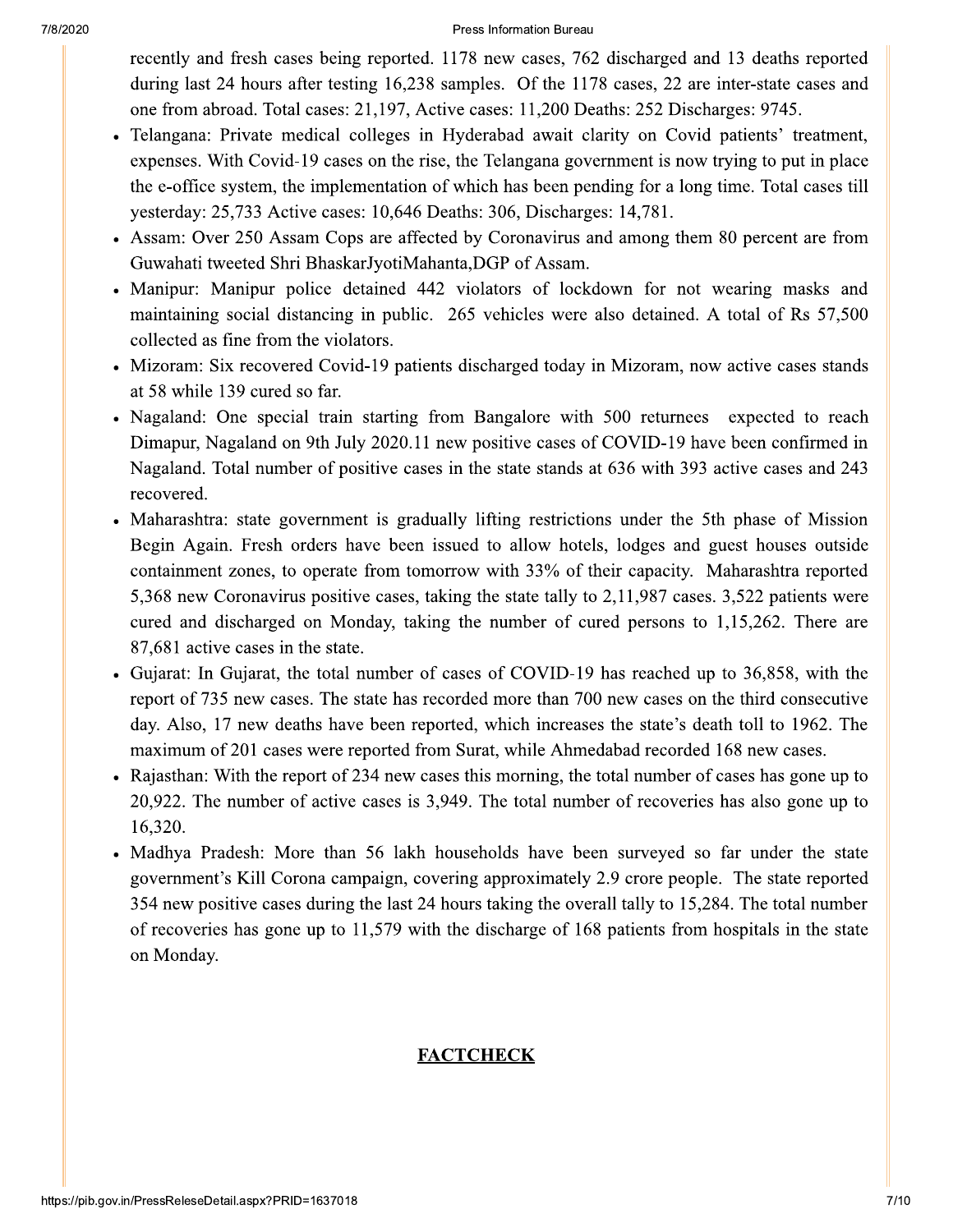Press Information Bureau

recently and fresh cases being reported. 1178 new cases, 762 discharged and 13 deaths reported during last 24 hours after testing 16,238 samples. Of the 1178 cases, 22 are inter-state cases and one from abroad. Total cases: 21,197, Active cases: 11,200 Deaths: 252 Discharges: 9745.

- Telangana: Private medical colleges in Hyderabad await clarity on Covid patients' treatment, expenses. With Covid-19 cases on the rise, the Telangana government is now trying to put in place the e-office system, the implementation of which has been pending for a long time. Total cases till yesterday: 25,733 Active cases: 10,646 Deaths: 306, Discharges: 14,781.
- Assam: Over 250 Assam Cops are affected by Coronavirus and among them 80 percent are from Guwahati tweeted Shri BhaskarJyotiMahanta, DGP of Assam.
- Manipur: Manipur police detained 442 violators of lockdown for not wearing masks and maintaining social distancing in public. 265 vehicles were also detained. A total of Rs 57,500 collected as fine from the violators.
- Mizoram: Six recovered Covid-19 patients discharged today in Mizoram, now active cases stands at 58 while 139 cured so far.
- Nagaland: One special train starting from Bangalore with 500 returnees expected to reach Dimapur, Nagaland on 9th July 2020.11 new positive cases of COVID-19 have been confirmed in Nagaland. Total number of positive cases in the state stands at 636 with 393 active cases and 243 recovered.
- Maharashtra: state government is gradually lifting restrictions under the 5th phase of Mission Begin Again. Fresh orders have been issued to allow hotels, lodges and guest houses outside containment zones, to operate from tomorrow with 33% of their capacity. Maharashtra reported 5,368 new Coronavirus positive cases, taking the state tally to 2,11,987 cases. 3,522 patients were cured and discharged on Monday, taking the number of cured persons to 1,15,262. There are 87,681 active cases in the state.
- Gujarat: In Gujarat, the total number of cases of COVID-19 has reached up to 36,858, with the report of 735 new cases. The state has recorded more than 700 new cases on the third consecutive day. Also, 17 new deaths have been reported, which increases the state's death toll to 1962. The maximum of 201 cases were reported from Surat, while Ahmedabad recorded 168 new cases.
- Rajasthan: With the report of 234 new cases this morning, the total number of cases has gone up to 20,922. The number of active cases is 3,949. The total number of recoveries has also gone up to 16,320.
- Madhya Pradesh: More than 56 lakh households have been surveyed so far under the state government's Kill Corona campaign, covering approximately 2.9 crore people. The state reported 354 new positive cases during the last 24 hours taking the overall tally to 15,284. The total number of recoveries has gone up to 11,579 with the discharge of 168 patients from hospitals in the state on Monday.

#### **FACTCHECK**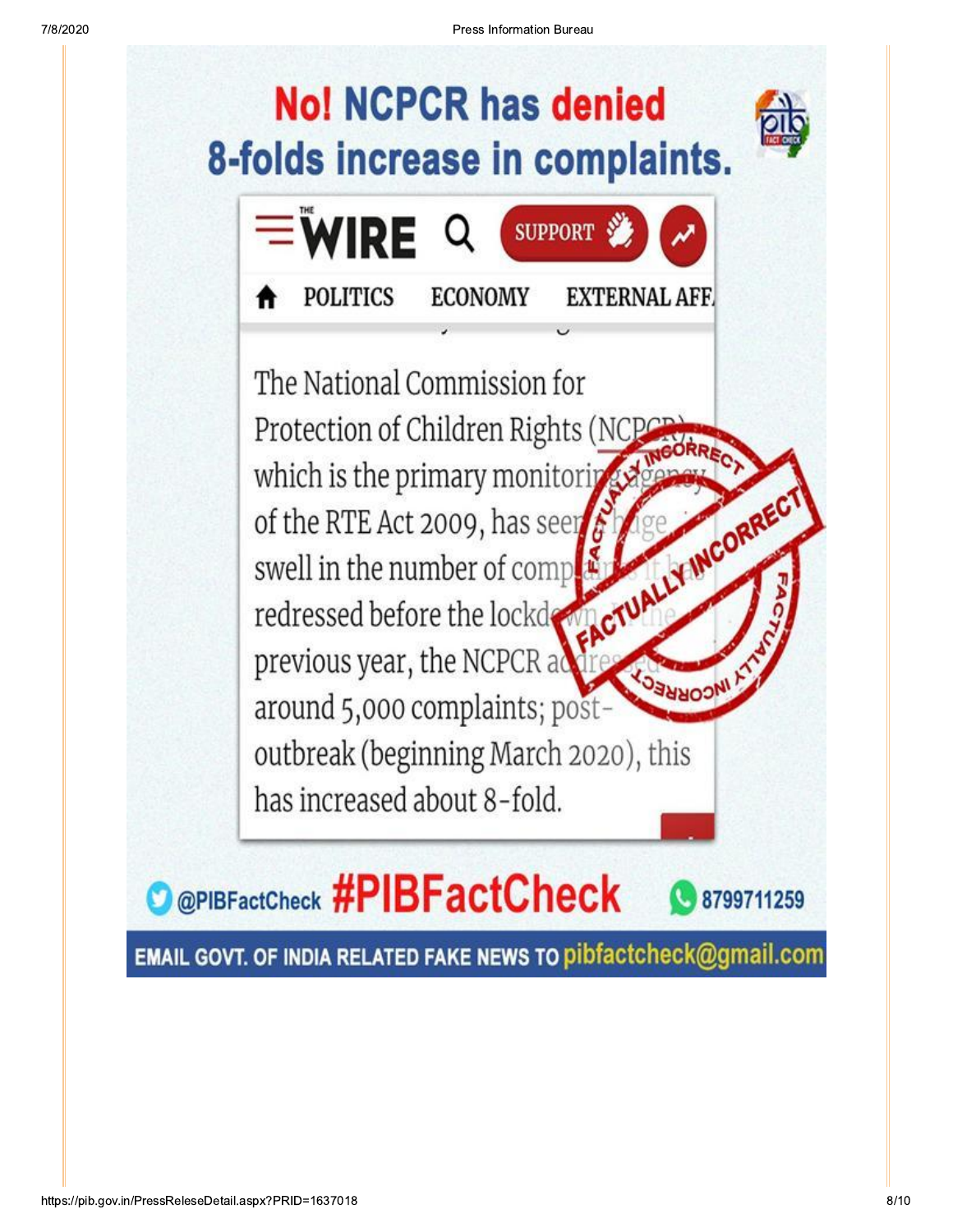

EMAIL GOVT. OF INDIA RELATED FAKE NEWS TO pibfactcheck@gmail.com